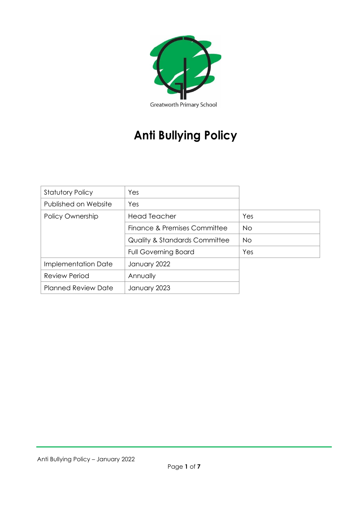

# **Anti Bullying Policy**

| <b>Statutory Policy</b>    | Yes                                      |           |
|----------------------------|------------------------------------------|-----------|
| Published on Website       | Yes                                      |           |
| Policy Ownership           | <b>Head Teacher</b>                      | Yes       |
|                            | Finance & Premises Committee             | <b>No</b> |
|                            | <b>Quality &amp; Standards Committee</b> | <b>No</b> |
|                            | <b>Full Governing Board</b>              | Yes       |
| Implementation Date        | January 2022                             |           |
| <b>Review Period</b>       | Annually                                 |           |
| <b>Planned Review Date</b> | January 2023                             |           |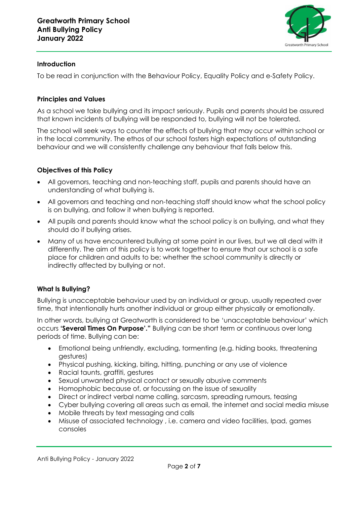

#### **Introduction**

To be read in conjunction with the Behaviour Policy, Equality Policy and e-Safety Policy.

#### **Principles and Values**

As a school we take bullying and its impact seriously. Pupils and parents should be assured that known incidents of bullying will be responded to, bullying will not be tolerated.

The school will seek ways to counter the effects of bullying that may occur within school or in the local community. The ethos of our school fosters high expectations of outstanding behaviour and we will consistently challenge any behaviour that falls below this.

### **Objectives of this Policy**

- All governors, teaching and non-teaching staff, pupils and parents should have an understanding of what bullying is.
- All governors and teaching and non-teaching staff should know what the school policy is on bullying, and follow it when bullying is reported.
- All pupils and parents should know what the school policy is on bullying, and what they should do if bullying arises.
- Many of us have encountered bullying at some point in our lives, but we all deal with it differently. The aim of this policy is to work together to ensure that our school is a safe place for children and adults to be; whether the school community is directly or indirectly affected by bullying or not.

### **What Is Bullying?**

Bullying is unacceptable behaviour used by an individual or group, usually repeated over time, that intentionally hurts another individual or group either physically or emotionally.

In other words, bullying at Greatworth is considered to be 'unacceptable behaviour' which occurs **'Several Times On Purpose'."** Bullying can be short term or continuous over long periods of time. Bullying can be:

- Emotional being unfriendly, excluding, tormenting (e.g. hiding books, threatening gestures)
- Physical pushing, kicking, biting, hitting, punching or any use of violence
- Racial taunts, graffiti, gestures
- Sexual unwanted physical contact or sexually abusive comments
- Homophobic because of, or focussing on the issue of sexuality
- Direct or indirect verbal name calling, sarcasm, spreading rumours, teasing
- Cyber bullying covering all areas such as email, the internet and social media misuse
- Mobile threats by text messaging and calls
- Misuse of associated technology , i.e. camera and video facilities, Ipad, games consoles

Anti Bullying Policy - January 2022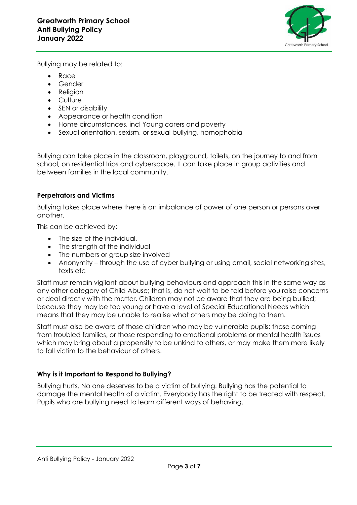

Bullying may be related to:

- Race
- Gender
- **Religion**
- Culture
- SEN or disability
- Appearance or health condition
- Home circumstances, incl Young carers and poverty
- Sexual orientation, sexism, or sexual bullying, homophobia

Bullying can take place in the classroom, playground, toilets, on the journey to and from school, on residential trips and cyberspace. It can take place in group activities and between families in the local community.

### **Perpetrators and Victims**

Bullying takes place where there is an imbalance of power of one person or persons over another.

This can be achieved by:

- The size of the individual,
- The strength of the individual
- The numbers or group size involved
- Anonymity through the use of cyber bullying or using email, social networking sites, texts etc

Staff must remain vigilant about bullying behaviours and approach this in the same way as any other category of Child Abuse; that is, do not wait to be told before you raise concerns or deal directly with the matter. Children may not be aware that they are being bullied; because they may be too young or have a level of Special Educational Needs which means that they may be unable to realise what others may be doing to them.

Staff must also be aware of those children who may be vulnerable pupils; those coming from troubled families, or those responding to emotional problems or mental health issues which may bring about a propensity to be unkind to others, or may make them more likely to fall victim to the behaviour of others.

### **Why is it Important to Respond to Bullying?**

Bullying hurts. No one deserves to be a victim of bullying. Bullying has the potential to damage the mental health of a victim. Everybody has the right to be treated with respect. Pupils who are bullying need to learn different ways of behaving.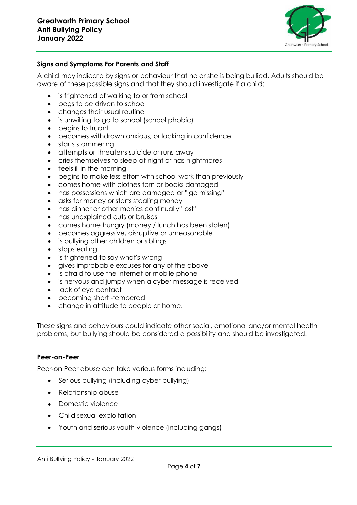

### **Signs and Symptoms For Parents and Staff**

A child may indicate by signs or behaviour that he or she is being bullied. Adults should be aware of these possible signs and that they should investigate if a child:

- is frightened of walking to or from school
- begs to be driven to school
- changes their usual routine
- is unwilling to go to school (school phobic)
- begins to truant
- becomes withdrawn anxious, or lacking in confidence
- starts stammering
- attempts or threatens suicide or runs away
- cries themselves to sleep at night or has nightmares
- feels ill in the morning
- begins to make less effort with school work than previously
- comes home with clothes torn or books damaged
- has possessions which are damaged or " go missing"
- asks for money or starts stealing money
- has dinner or other monies continually "lost"
- has unexplained cuts or bruises
- comes home hungry (money / lunch has been stolen)
- becomes aggressive, disruptive or unreasonable
- is bullying other children or siblings
- stops eating
- is frightened to say what's wrong
- gives improbable excuses for any of the above
- is afraid to use the internet or mobile phone
- is nervous and jumpy when a cyber message is received
- lack of eye contact
- becoming short -tempered
- change in attitude to people at home.

These signs and behaviours could indicate other social, emotional and/or mental health problems, but bullying should be considered a possibility and should be investigated.

#### **Peer-on-Peer**

Peer-on Peer abuse can take various forms including:

- Serious bullying (including cyber bullying)
- Relationship abuse
- Domestic violence
- Child sexual exploitation
- Youth and serious youth violence (including gangs)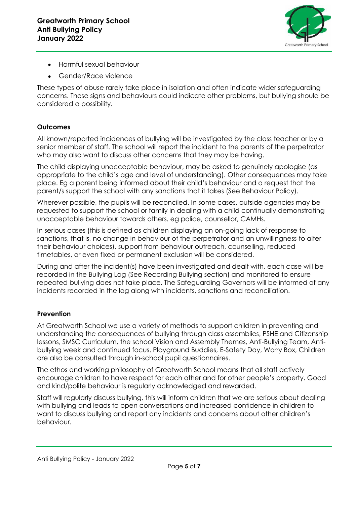

- Harmful sexual behaviour
- Gender/Race violence

These types of abuse rarely take place in isolation and often indicate wider safeguarding concerns. These signs and behaviours could indicate other problems, but bullying should be considered a possibility.

# **Outcomes**

All known/reported incidences of bullying will be investigated by the class teacher or by a senior member of staff. The school will report the incident to the parents of the perpetrator who may also want to discuss other concerns that they may be having.

The child displaying unacceptable behaviour, may be asked to genuinely apologise (as appropriate to the child's age and level of understanding). Other consequences may take place. Eg a parent being informed about their child's behaviour and a request that the parent/s support the school with any sanctions that it takes (See Behaviour Policy).

Wherever possible, the pupils will be reconciled. In some cases, outside agencies may be requested to support the school or family in dealing with a child continually demonstrating unacceptable behaviour towards others. eg police, counsellor, CAMHs.

In serious cases (this is defined as children displaying an on-going lack of response to sanctions, that is, no change in behaviour of the perpetrator and an unwillingness to alter their behaviour choices), support from behaviour outreach, counselling, reduced timetables, or even fixed or permanent exclusion will be considered.

During and after the incident(s) have been investigated and dealt with, each case will be recorded in the Bullying Log (See Recording Bullying section) and monitored to ensure repeated bullying does not take place. The Safeguarding Governors will be informed of any incidents recorded in the log along with incidents, sanctions and reconciliation.

### **Prevention**

At Greatworth School we use a variety of methods to support children in preventing and understanding the consequences of bullying through class assemblies, PSHE and Citizenship lessons, SMSC Curriculum, the school Vision and Assembly Themes, Anti-Bullying Team, Antibullying week and continued focus. Playground Buddies, E-Safety Day, Worry Box, Children are also be consulted through in-school pupil questionnaires.

The ethos and working philosophy of Greatworth School means that all staff actively encourage children to have respect for each other and for other people's property. Good and kind/polite behaviour is regularly acknowledged and rewarded.

Staff will regularly discuss bullying, this will inform children that we are serious about dealing with bullying and leads to open conversations and increased confidence in children to want to discuss bullying and report any incidents and concerns about other children's behaviour.

Anti Bullying Policy - January 2022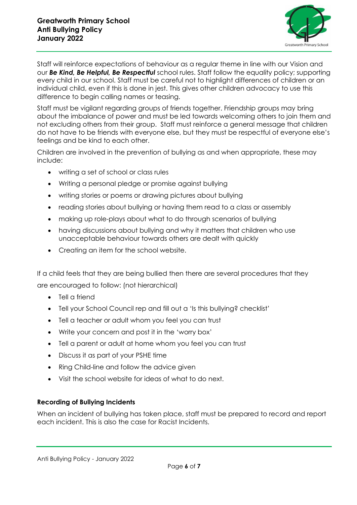

Staff will reinforce expectations of behaviour as a regular theme in line with our Vision and our *Be Kind, Be Helpful, Be Respectful* school rules. Staff follow the equality policy; supporting every child in our school. Staff must be careful not to highlight differences of children or an individual child, even if this is done in jest. This gives other children advocacy to use this difference to begin calling names or teasing.

Staff must be vigilant regarding groups of friends together. Friendship groups may bring about the imbalance of power and must be led towards welcoming others to join them and not excluding others from their group. Staff must reinforce a general message that children do not have to be friends with everyone else, but they must be respectful of everyone else's feelings and be kind to each other.

Children are involved in the prevention of bullying as and when appropriate, these may include:

- writing a set of school or class rules
- Writing a personal pledge or promise against bullying
- writing stories or poems or drawing pictures about bullying
- reading stories about bullying or having them read to a class or assembly
- making up role-plays about what to do through scenarios of bullying
- having discussions about bullying and why it matters that children who use unacceptable behaviour towards others are dealt with quickly
- Creating an item for the school website.

If a child feels that they are being bullied then there are several procedures that they are encouraged to follow: (not hierarchical)

- Tell a friend
- Tell your School Council rep and fill out a 'Is this bullying? checklist'
- Tell a teacher or adult whom you feel you can trust
- Write your concern and post it in the 'worry box'
- Tell a parent or adult at home whom you feel you can trust
- Discuss it as part of your PSHE time
- Ring Child-line and follow the advice given
- Visit the school website for ideas of what to do next.

### **Recording of Bullying Incidents**

When an incident of bullying has taken place, staff must be prepared to record and report each incident. This is also the case for Racist Incidents.